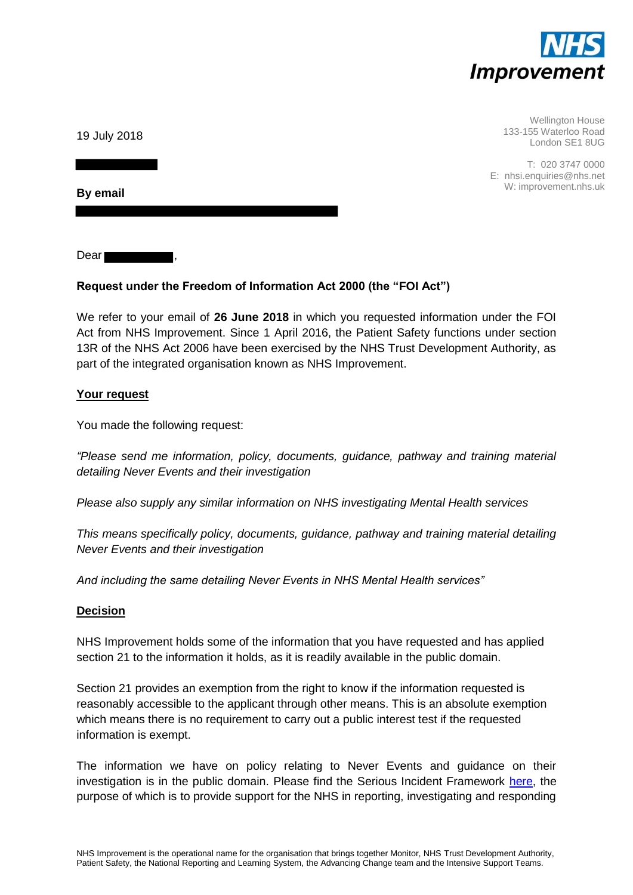

Wellington House 133-155 Waterloo Road London SE1 8UG

T: 020 3747 0000 E: nhsi.enquiries@nhs.net W: improvement.nhs.uk

19 July 2018

**By email**

Dear I

# **Request under the Freedom of Information Act 2000 (the "FOI Act")**

We refer to your email of **26 June 2018** in which you requested information under the FOI Act from NHS Improvement. Since 1 April 2016, the Patient Safety functions under section 13R of the NHS Act 2006 have been exercised by the NHS Trust Development Authority, as part of the integrated organisation known as NHS Improvement.

## **Your request**

You made the following request:

*"Please send me information, policy, documents, guidance, pathway and training material detailing Never Events and their investigation*

*Please also supply any similar information on NHS investigating Mental Health services*

*This means specifically policy, documents, guidance, pathway and training material detailing Never Events and their investigation*

*And including the same detailing Never Events in NHS Mental Health services"*

## **Decision**

NHS Improvement holds some of the information that you have requested and has applied section 21 to the information it holds, as it is readily available in the public domain.

Section 21 provides an exemption from the right to know if the information requested is reasonably accessible to the applicant through other means. This is an absolute exemption which means there is no requirement to carry out a public interest test if the requested information is exempt.

The information we have on policy relating to Never Events and guidance on their investigation is in the public domain. Please find the Serious Incident Framework [here,](https://improvement.nhs.uk/documents/954/Serious_Incident_framework_NHS_England_.pdf) the purpose of which is to provide support for the NHS in reporting, investigating and responding